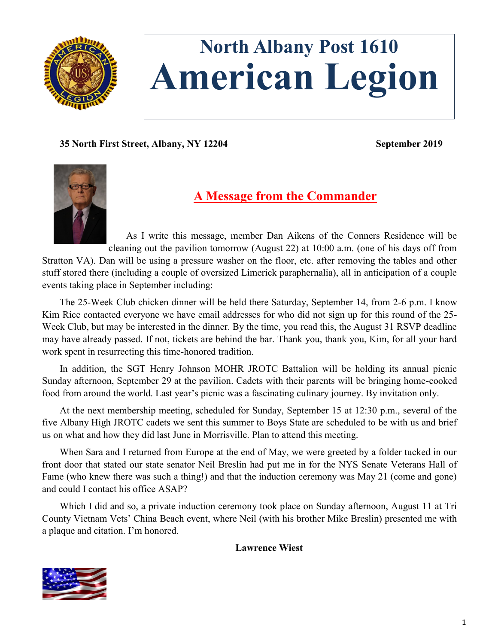

# **North Albany Post 1610 American Legion**

**35 North First Street, Albany, NY 12204 September 2019**



# **A Message from the Commander**

As I write this message, member Dan Aikens of the Conners Residence will be cleaning out the pavilion tomorrow (August 22) at 10:00 a.m. (one of his days off from

Stratton VA). Dan will be using a pressure washer on the floor, etc. after removing the tables and other stuff stored there (including a couple of oversized Limerick paraphernalia), all in anticipation of a couple events taking place in September including:

The 25-Week Club chicken dinner will be held there Saturday, September 14, from 2-6 p.m. I know Kim Rice contacted everyone we have email addresses for who did not sign up for this round of the 25-Week Club, but may be interested in the dinner. By the time, you read this, the August 31 RSVP deadline may have already passed. If not, tickets are behind the bar. Thank you, thank you, Kim, for all your hard work spent in resurrecting this time-honored tradition.

In addition, the SGT Henry Johnson MOHR JROTC Battalion will be holding its annual picnic Sunday afternoon, September 29 at the pavilion. Cadets with their parents will be bringing home-cooked food from around the world. Last year's picnic was a fascinating culinary journey. By invitation only.

At the next membership meeting, scheduled for Sunday, September 15 at 12:30 p.m., several of the five Albany High JROTC cadets we sent this summer to Boys State are scheduled to be with us and brief us on what and how they did last June in Morrisville. Plan to attend this meeting.

When Sara and I returned from Europe at the end of May, we were greeted by a folder tucked in our front door that stated our state senator Neil Breslin had put me in for the NYS Senate Veterans Hall of Fame (who knew there was such a thing!) and that the induction ceremony was May 21 (come and gone) and could I contact his office ASAP?

Which I did and so, a private induction ceremony took place on Sunday afternoon, August 11 at Tri County Vietnam Vets' China Beach event, where Neil (with his brother Mike Breslin) presented me with a plaque and citation. I'm honored.

#### **Lawrence Wiest**

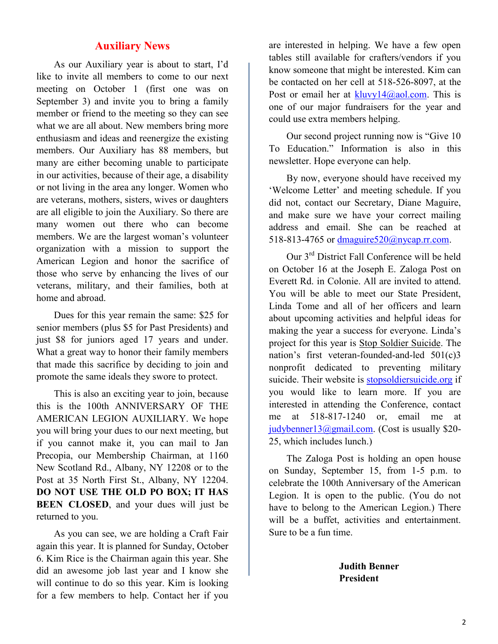# **Auxiliary News**

As our Auxiliary year is about to start, I'd like to invite all members to come to our next meeting on October 1 (first one was on September 3) and invite you to bring a family member or friend to the meeting so they can see what we are all about. New members bring more enthusiasm and ideas and reenergize the existing members. Our Auxiliary has 88 members, but many are either becoming unable to participate in our activities, because of their age, a disability or not living in the area any longer. Women who are veterans, mothers, sisters, wives or daughters are all eligible to join the Auxiliary. So there are many women out there who can become members. We are the largest woman's volunteer organization with a mission to support the American Legion and honor the sacrifice of those who serve by enhancing the lives of our veterans, military, and their families, both at home and abroad.

Dues for this year remain the same: \$25 for senior members (plus \$5 for Past Presidents) and just \$8 for juniors aged 17 years and under. What a great way to honor their family members that made this sacrifice by deciding to join and promote the same ideals they swore to protect.

This is also an exciting year to join, because this is the 100th ANNIVERSARY OF THE AMERICAN LEGION AUXILIARY. We hope you will bring your dues to our next meeting, but if you cannot make it, you can mail to Jan Precopia, our Membership Chairman, at 1160 New Scotland Rd., Albany, NY 12208 or to the Post at 35 North First St., Albany, NY 12204. **DO NOT USE THE OLD PO BOX; IT HAS BEEN CLOSED**, and your dues will just be returned to you.

As you can see, we are holding a Craft Fair again this year. It is planned for Sunday, October 6. Kim Rice is the Chairman again this year. She did an awesome job last year and I know she will continue to do so this year. Kim is looking for a few members to help. Contact her if you

are interested in helping. We have a few open tables still available for crafters/vendors if you know someone that might be interested. Kim can be contacted on her cell at 518-526-8097, at the Post or email her at  $kluvv14@aol.com$ . This is one of our major fundraisers for the year and could use extra members helping.

Our second project running now is "Give 10 To Education." Information is also in this newsletter. Hope everyone can help.

By now, everyone should have received my 'Welcome Letter' and meeting schedule. If you did not, contact our Secretary, Diane Maguire, and make sure we have your correct mailing address and email. She can be reached at 518-813-4765 or [dmaguire520@nycap.rr.com.](mailto:dmaguire520@nycap.rr.com)

Our 3rd District Fall Conference will be held on October 16 at the Joseph E. Zaloga Post on Everett Rd. in Colonie. All are invited to attend. You will be able to meet our State President, Linda Tome and all of her officers and learn about upcoming activities and helpful ideas for making the year a success for everyone. Linda's project for this year is Stop Soldier Suicide. The nation's first veteran-founded-and-led 501(c)3 nonprofit dedicated to preventing military suicide. Their website is [stopsoldiersuicide.org](mailto:stopsoldiersuicide.org) if you would like to learn more. If you are interested in attending the Conference, contact me at 518-817-1240 or, email me at [judybenner13@gmail.com.](mailto:judybenner13@gmail.com) (Cost is usually \$20-25, which includes lunch.)

The Zaloga Post is holding an open house on Sunday, September 15, from 1-5 p.m. to celebrate the 100th Anniversary of the American Legion. It is open to the public. (You do not have to belong to the American Legion.) There will be a buffet, activities and entertainment. Sure to be a fun time.

> **Judith Benner President**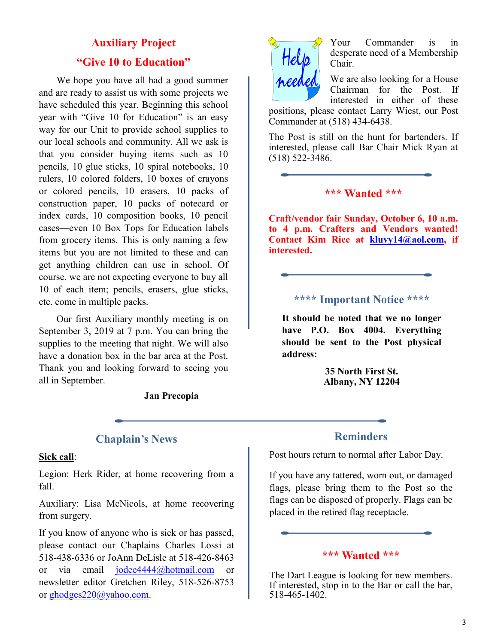# **Auxiliary Project "Give 10 to Education"**

We hope you have all had a good summer and are ready to assist us with some projects we have scheduled this year. Beginning this school year with "Give 10 for Education" is an easy way for our Unit to provide school supplies to our local schools and community. All we ask is that you consider buying items such as 10 pencils, 10 glue sticks, 10 spiral notebooks, 10 rulers, 10 colored folders, 10 boxes of crayons or colored pencils, 10 erasers, 10 packs of construction paper, 10 packs of notecard or index cards, 10 composition books, 10 pencil cases—even 10 Box Tops for Education labels from grocery items. This is only naming a few items but you are not limited to these and can get anything children can use in school. Of course, we are not expecting everyone to buy all 10 of each item; pencils, erasers, glue sticks, etc. come in multiple packs.

Our first Auxiliary monthly meeting is on September 3, 2019 at 7 p.m. You can bring the supplies to the meeting that night. We will also have a donation box in the bar area at the Post. Thank you and looking forward to seeing you all in September.

**Jan Precopia**

Your Commander is in desperate need of a Membership Chair.

We are also looking for a House Chairman for the Post. If interested in either of these

positions, please contact Larry Wiest, our Post Commander at (518) 434-6438.

The Post is still on the hunt for bartenders. If interested, please call Bar Chair Mick Ryan at (518) 522-3486.

# **\*\*\* Wanted \*\*\***

**Craft/vendor fair Sunday, October 6, 10 a.m. to 4 p.m. Crafters and Vendors wanted! Contact Kim Rice at [kluvy14@aol.com,](mailto:kluvy14@aol.com) if interested.**

# **\*\*\*\* Important Notice \*\*\*\***

**It should be noted that we no longer have P.O. Box 4004. Everything should be sent to the Post physical address:**

> **35 North First St. Albany, NY 12204**

# **Chaplain's News**

#### **Sick call**:

Legion: Herk Rider, at home recovering from a fall.

Auxiliary: Lisa McNicols, at home recovering from surgery.

If you know of anyone who is sick or has passed, please contact our Chaplains Charles Lossi at 518-438-6336 or JoAnn DeLisle at 518-426-8463 or via email [jodee4444@hotmail.com](mailto:jodee4444@hotmail.com) or newsletter editor Gretchen Riley, 518-526-8753 or [ghodges220@yahoo.com.](mailto:ghodges220@yahoo.com)

# **Reminders**

Post hours return to normal after Labor Day.

If you have any tattered, worn out, or damaged flags, please bring them to the Post so the flags can be disposed of properly. Flags can be placed in the retired flag receptacle.

#### **\*\*\* Wanted \*\*\***

The Dart League is looking for new members. If interested, stop in to the Bar or call the bar, 518-465-1402.